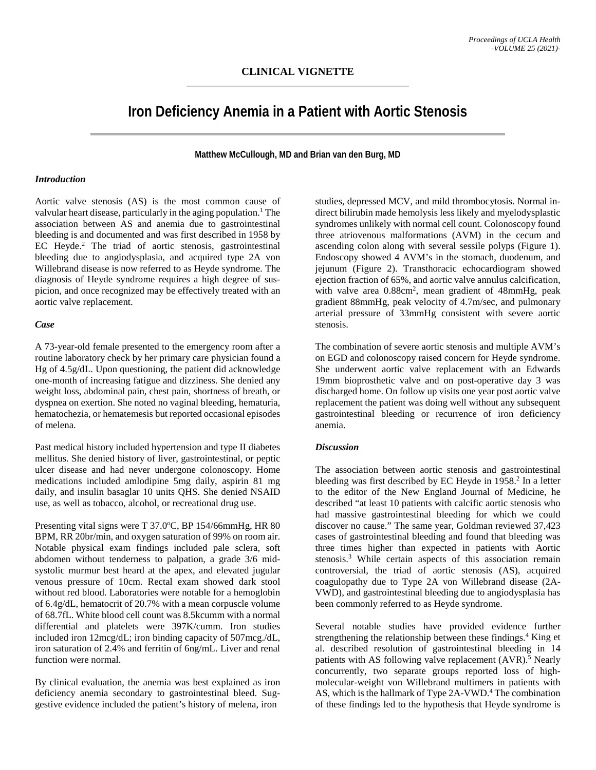# **Iron Deficiency Anemia in a Patient with Aortic Stenosis**

**Matthew McCullough, MD and Brian van den Burg, MD**

# *Introduction*

Aortic valve stenosis (AS) is the most common cause of valvular heart disease, particularly in the aging population.<sup>1</sup> The association between AS and anemia due to gastrointestinal bleeding is and documented and was first described in 1958 by EC Heyde.<sup>2</sup> The triad of aortic stenosis, gastrointestinal bleeding due to angiodysplasia, and acquired type 2A von Willebrand disease is now referred to as Heyde syndrome. The diagnosis of Heyde syndrome requires a high degree of suspicion, and once recognized may be effectively treated with an aortic valve replacement.

### *Case*

A 73-year-old female presented to the emergency room after a routine laboratory check by her primary care physician found a Hg of 4.5g/dL. Upon questioning, the patient did acknowledge one-month of increasing fatigue and dizziness. She denied any weight loss, abdominal pain, chest pain, shortness of breath, or dyspnea on exertion. She noted no vaginal bleeding, hematuria, hematochezia, or hematemesis but reported occasional episodes of melena.

Past medical history included hypertension and type II diabetes mellitus. She denied history of liver, gastrointestinal, or peptic ulcer disease and had never undergone colonoscopy. Home medications included amlodipine 5mg daily, aspirin 81 mg daily, and insulin basaglar 10 units QHS. She denied NSAID use, as well as tobacco, alcohol, or recreational drug use.

Presenting vital signs were T 37.0°C, BP 154/66mmHg, HR 80 BPM, RR 20br/min, and oxygen saturation of 99% on room air. Notable physical exam findings included pale sclera, soft abdomen without tenderness to palpation, a grade 3/6 midsystolic murmur best heard at the apex, and elevated jugular venous pressure of 10cm. Rectal exam showed dark stool without red blood. Laboratories were notable for a hemoglobin of 6.4g/dL, hematocrit of 20.7% with a mean corpuscle volume of 68.7fL. White blood cell count was 8.5kcumm with a normal differential and platelets were 397K/cumm. Iron studies included iron 12mcg/dL; iron binding capacity of 507mcg./dL, iron saturation of 2.4% and ferritin of 6ng/mL. Liver and renal function were normal.

By clinical evaluation, the anemia was best explained as iron deficiency anemia secondary to gastrointestinal bleed. Suggestive evidence included the patient's history of melena, iron

studies, depressed MCV, and mild thrombocytosis. Normal indirect bilirubin made hemolysis less likely and myelodysplastic syndromes unlikely with normal cell count. Colonoscopy found three atriovenous malformations (AVM) in the cecum and ascending colon along with several sessile polyps (Figure 1). Endoscopy showed 4 AVM's in the stomach, duodenum, and jejunum (Figure 2). Transthoracic echocardiogram showed ejection fraction of 65%, and aortic valve annulus calcification, with valve area 0.88cm<sup>2</sup>, mean gradient of 48mmHg, peak gradient 88mmHg, peak velocity of 4.7m/sec, and pulmonary arterial pressure of 33mmHg consistent with severe aortic stenosis.

The combination of severe aortic stenosis and multiple AVM's on EGD and colonoscopy raised concern for Heyde syndrome. She underwent aortic valve replacement with an Edwards 19mm bioprosthetic valve and on post-operative day 3 was discharged home. On follow up visits one year post aortic valve replacement the patient was doing well without any subsequent gastrointestinal bleeding or recurrence of iron deficiency anemia.

## *Discussion*

The association between aortic stenosis and gastrointestinal bleeding was first described by EC Heyde in 1958.<sup>2</sup> In a letter to the editor of the New England Journal of Medicine, he described "at least 10 patients with calcific aortic stenosis who had massive gastrointestinal bleeding for which we could discover no cause." The same year, Goldman reviewed 37,423 cases of gastrointestinal bleeding and found that bleeding was three times higher than expected in patients with Aortic stenosis.3 While certain aspects of this association remain controversial, the triad of aortic stenosis (AS), acquired coagulopathy due to Type 2A von Willebrand disease (2A-VWD), and gastrointestinal bleeding due to angiodysplasia has been commonly referred to as Heyde syndrome.

Several notable studies have provided evidence further strengthening the relationship between these findings. <sup>4</sup> King et al. described resolution of gastrointestinal bleeding in 14 patients with AS following valve replacement (AVR).<sup>5</sup> Nearly concurrently, two separate groups reported loss of highmolecular-weight von Willebrand multimers in patients with AS, which is the hallmark of Type 2A-VWD. <sup>4</sup> The combination of these findings led to the hypothesis that Heyde syndrome is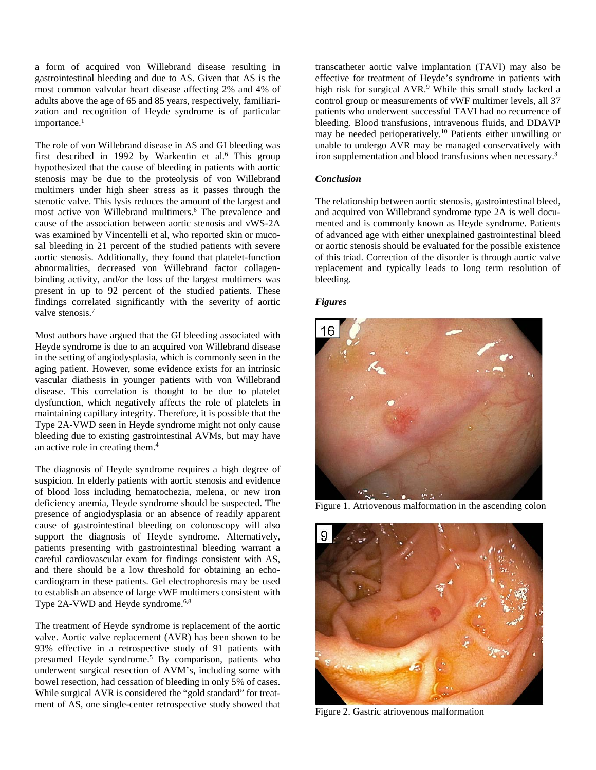a form of acquired von Willebrand disease resulting in gastrointestinal bleeding and due to AS. Given that AS is the most common valvular heart disease affecting 2% and 4% of adults above the age of 65 and 85 years, respectively, familiarization and recognition of Heyde syndrome is of particular importance.<sup>1</sup>

The role of von Willebrand disease in AS and GI bleeding was first described in 1992 by Warkentin et al.<sup>6</sup> This group hypothesized that the cause of bleeding in patients with aortic stenosis may be due to the proteolysis of von Willebrand multimers under high sheer stress as it passes through the stenotic valve. This lysis reduces the amount of the largest and most active von Willebrand multimers. <sup>6</sup> The prevalence and cause of the association between aortic stenosis and vWS-2A was examined by Vincentelli et al, who reported skin or mucosal bleeding in 21 percent of the studied patients with severe aortic stenosis. Additionally, they found that platelet-function abnormalities, decreased von Willebrand factor collagenbinding activity, and/or the loss of the largest multimers was present in up to 92 percent of the studied patients. These findings correlated significantly with the severity of aortic valve stenosis.<sup>7</sup>

Most authors have argued that the GI bleeding associated with Heyde syndrome is due to an acquired von Willebrand disease in the setting of angiodysplasia, which is commonly seen in the aging patient. However, some evidence exists for an intrinsic vascular diathesis in younger patients with von Willebrand disease. This correlation is thought to be due to platelet dysfunction, which negatively affects the role of platelets in maintaining capillary integrity. Therefore, it is possible that the Type 2A-VWD seen in Heyde syndrome might not only cause bleeding due to existing gastrointestinal AVMs, but may have an active role in creating them.4

The diagnosis of Heyde syndrome requires a high degree of suspicion. In elderly patients with aortic stenosis and evidence of blood loss including hematochezia, melena, or new iron deficiency anemia, Heyde syndrome should be suspected. The presence of angiodysplasia or an absence of readily apparent cause of gastrointestinal bleeding on colonoscopy will also support the diagnosis of Heyde syndrome. Alternatively, patients presenting with gastrointestinal bleeding warrant a careful cardiovascular exam for findings consistent with AS, and there should be a low threshold for obtaining an echocardiogram in these patients. Gel electrophoresis may be used to establish an absence of large vWF multimers consistent with Type 2A-VWD and Heyde syndrome.<sup>6,8</sup>

The treatment of Heyde syndrome is replacement of the aortic valve. Aortic valve replacement (AVR) has been shown to be 93% effective in a retrospective study of 91 patients with presumed Heyde syndrome. <sup>5</sup> By comparison, patients who underwent surgical resection of AVM's, including some with bowel resection, had cessation of bleeding in only 5% of cases. While surgical AVR is considered the "gold standard" for treatment of AS, one single-center retrospective study showed that

transcatheter aortic valve implantation (TAVI) may also be effective for treatment of Heyde's syndrome in patients with high risk for surgical AVR.<sup>9</sup> While this small study lacked a control group or measurements of vWF multimer levels, all 37 patients who underwent successful TAVI had no recurrence of bleeding. Blood transfusions, intravenous fluids, and DDAVP may be needed perioperatively.<sup>10</sup> Patients either unwilling or unable to undergo AVR may be managed conservatively with iron supplementation and blood transfusions when necessary.<sup>3</sup>

## *Conclusion*

The relationship between aortic stenosis, gastrointestinal bleed, and acquired von Willebrand syndrome type 2A is well documented and is commonly known as Heyde syndrome. Patients of advanced age with either unexplained gastrointestinal bleed or aortic stenosis should be evaluated for the possible existence of this triad. Correction of the disorder is through aortic valve replacement and typically leads to long term resolution of bleeding.

### *Figures*



Figure 1. Atriovenous malformation in the ascending colon



Figure 2. Gastric atriovenous malformation